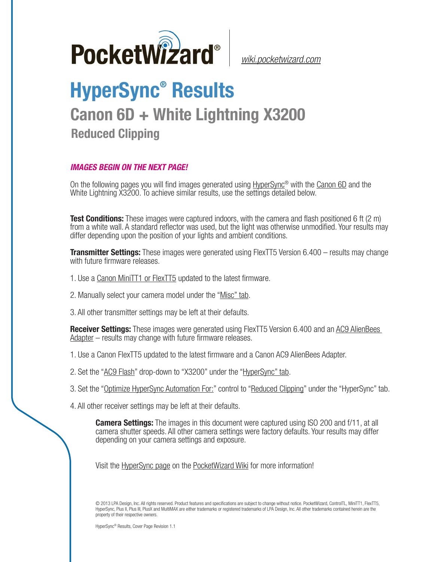

*[wiki.pocketwizard.com](http://wiki.pocketwizard.com/)*

## **HyperSync® Results Canon 6D + White Lightning X3200 Reduced Clipping**

## *IMAGES BEGIN ON THE NEXT PAGE!*

On the following pages you will find images generated using [HyperSync](http://wiki.pocketwizard.com/index.php?title=Hypersync)® with the [Canon 6D](http://wiki.pocketwizard.com/index.php?title=Canon_6D) and the White Lightning X3200. To achieve similar results, use the settings detailed below.

**Test Conditions:** These images were captured indoors, with the camera and flash positioned 6 ft (2 m) from a white wall. A standard reflector was used, but the light was otherwise unmodified. Your results may differ depending upon the position of your lights and ambient conditions.

**Transmitter Settings:** These images were generated using FlexTT5 Version 6.400 – results may change with future firmware releases.

- 1. Use a [Canon MiniTT1 or FlexTT5](http://wiki.pocketwizard.com/index.php?title=Canon_MiniTT1_and_FlexTT5) updated to the latest firmware.
- 2. Manually select your camera model under the "[Misc" tab](http://wiki.pocketwizard.com/index.php?title=Misc_Tab).
- 3. All other transmitter settings may be left at their defaults.

**Receiver Settings:** These images were generated using FlexTT5 Version 6.400 and an [AC9 AlienBees](http://wiki.pocketwizard.com/index.php?title=AC9_AlienBees_Adapter)  [Adapter](http://wiki.pocketwizard.com/index.php?title=AC9_AlienBees_Adapter) – results may change with future firmware releases.

- 1. Use a [Canon FlexTT5](http://wiki.pocketwizard.com/index.php?title=Canon_MiniTT1_and_FlexTT5) updated to the latest firmware and a Canon AC9 AlienBees Adapter.
- 2. Set the "[AC9 Flash](http://wiki.pocketwizard.com/index.php?title=HyperSync/HSS_Tab#AC9_Flash)" drop-down to "X3200" under the "[HyperSync" tab](http://wiki.pocketwizard.com/index.php?title=Hypersync_tab).
- 3. Set the "[Optimize HyperSync Automation For:](http://wiki.pocketwizard.com/index.php?title=HyperSync/HSS_Tab#Optimize_HyperSync_Automation_For:)" control to ["Reduced Clipping"](http://wiki.pocketwizard.com/index.php?title=HyperSync/HSS_Tab#Optimize_HyperSync_Automation_For:) under the "HyperSync" tab.
- 4. All other receiver settings may be left at their defaults.

**Camera Settings:** The images in this document were captured using ISO 200 and f/11, at all camera shutter speeds. All other camera settings were factory defaults. Your results may differ depending on your camera settings and exposure.

Visit the [HyperSync page](http://wiki.pocketwizard.com/index.php?title=Hypersync) on the P[ocketWizard Wiki](http://wiki.pocketwizard.com/) for more information!

© 2013 LPA Design, Inc. All rights reserved. Product features and specifications are subject to change without notice. PocketWizard, ControlTL, MiniTT1, FlexTT5, HyperSync, Plus II, Plus III, PlusX and MultiMAX are either trademarks or registered trademarks of LPA Design, Inc. All other trademarks contained herein are the property of their respective owners.

HyperSync® Results, Cover Page Revision 1.1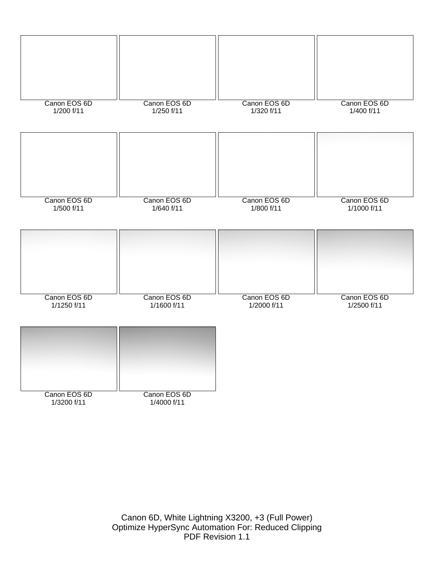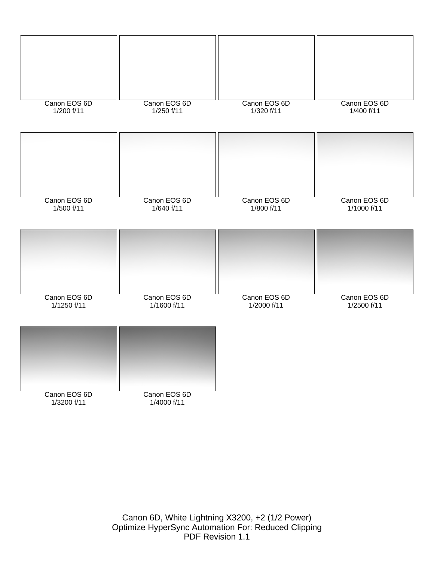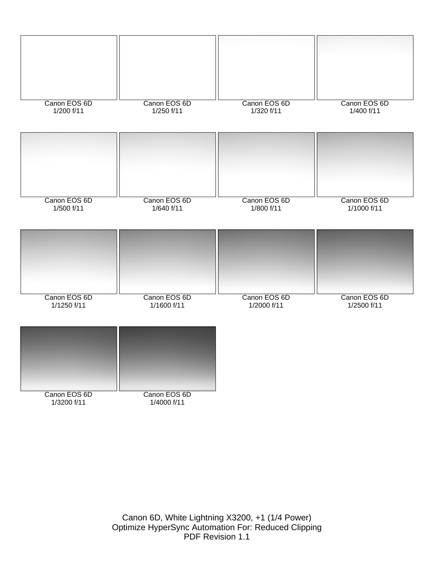

Canon 6D, White Lightning X3200, +1 (1/4 Power) Optimize HyperSync Automation For: Reduced Clipping PDF Revision 1.1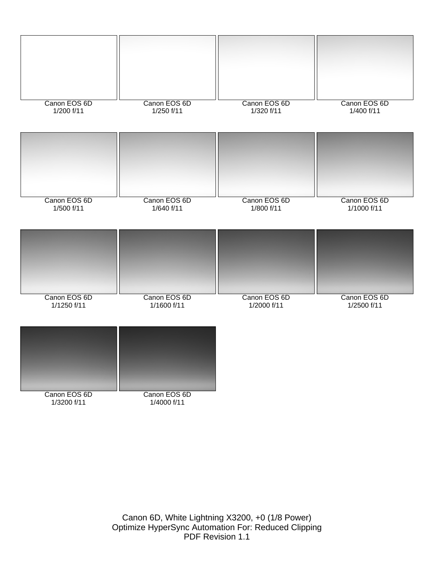

Canon 6D, White Lightning X3200, +0 (1/8 Power) Optimize HyperSync Automation For: Reduced Clipping PDF Revision 1.1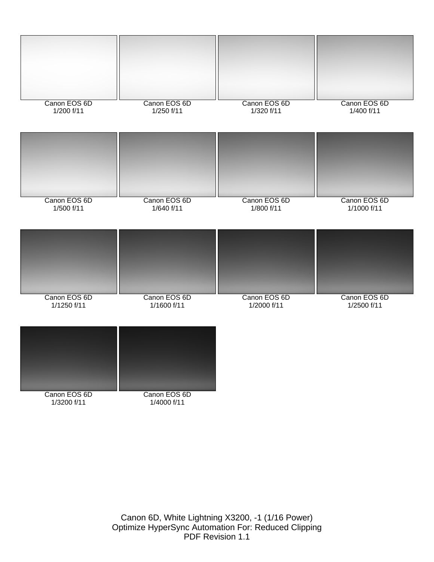

Canon 6D, White Lightning X3200, -1 (1/16 Power) Optimize HyperSync Automation For: Reduced Clipping PDF Revision 1.1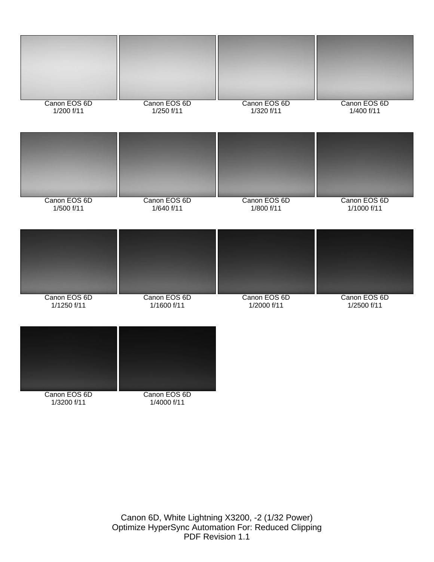

Canon 6D, White Lightning X3200, -2 (1/32 Power) Optimize HyperSync Automation For: Reduced Clipping PDF Revision 1.1